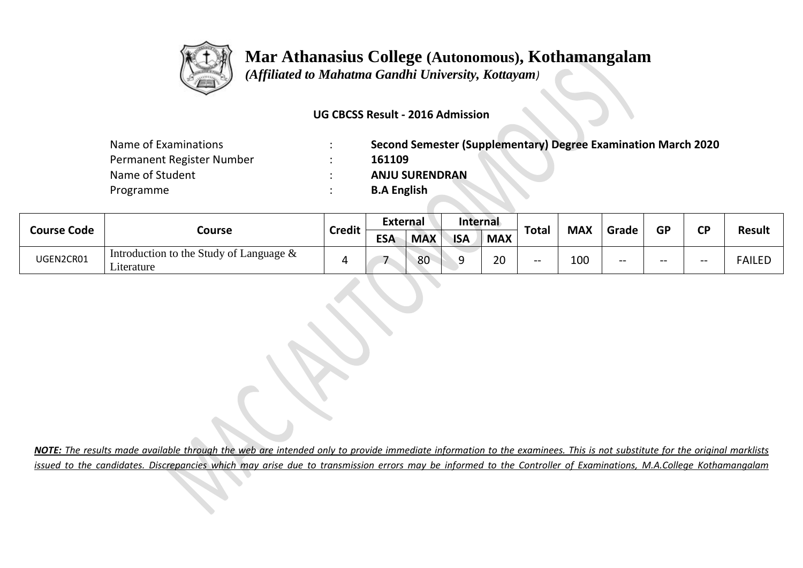

## **Mar Athanasius College (Autonomous), Kothamangalam**

 *(Affiliated to Mahatma Gandhi University, Kottayam)*

## **UG CBCSS Result - 2016 Admission**

| Name of Examinations      | Second Semester (Supplementary) Degree Examination March 2020 |
|---------------------------|---------------------------------------------------------------|
| Permanent Register Number | 161109                                                        |
| Name of Student           | <b>ANJU SURENDRAN</b>                                         |
| Programme                 | <b>B.A English</b>                                            |

| <b>Course Code</b> | Course                                                   | <b>Credit</b> | External   |            | Internal   |            |       |            |       |           | ΓD    |               |
|--------------------|----------------------------------------------------------|---------------|------------|------------|------------|------------|-------|------------|-------|-----------|-------|---------------|
|                    |                                                          |               | <b>ESA</b> | <b>MAX</b> | <b>ISA</b> | <b>MAX</b> | Total | <b>MAX</b> | Grade | <b>GP</b> |       | <b>Result</b> |
| UGEN2CR01          | Introduction to the Study of Language $\&$<br>Literature |               |            | 80         | ∽          | 20         | $- -$ | 100        | $- -$ | $- -$     | $- -$ | <b>FAILED</b> |

*NOTE: The results made available through the web are intended only to provide immediate information to the examinees. This is not substitute for the original marklists issued to the candidates. Discrepancies which may arise due to transmission errors may be informed to the Controller of Examinations, M.A.College Kothamangalam*